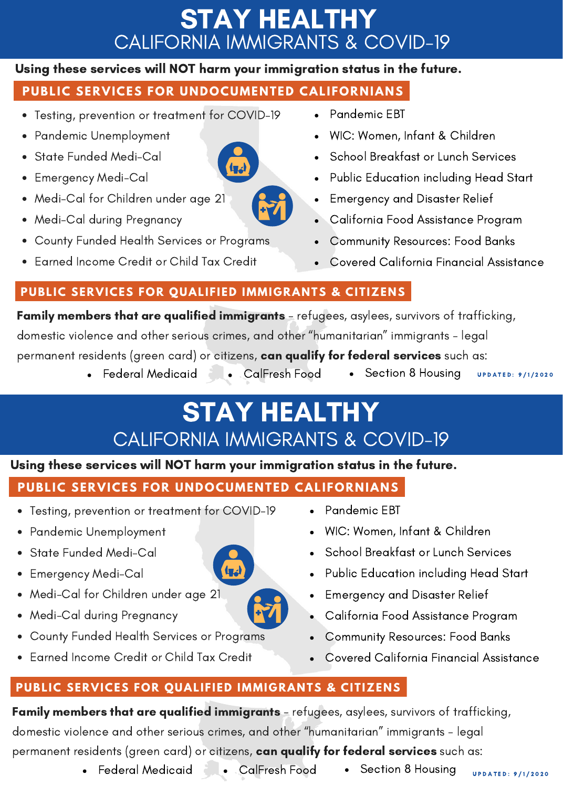# STAY HEALTHY CALIFORNIA IMMIGRANTS & COVID-19

#### Using these services will NOT harm your immigration status in the future.

## **PUBLIC SERVICES FOR UNDOCUMENTED CALIFORNIANS**

- Testing, prevention or treatment for COVID-19
- Pandemic Unemployment
- State Funded Medi-Cal
- Emergency Medi-Cal
- Medi-Cal for Children under age 21
- Medi-Cal during Pregnancy
- County Funded Health Services or Programs
- Earned Income Credit or Child Tax Credit
- Pandemic EBT
- WIC: Women, Infant & Children
- School Breakfast or Lunch Services
- Public Education including Head Start
- Emergency and Disaster Relief
- California Food Assistance Program
- Community Resources: Food Banks
- Covered California Financial Assistance

#### **PUBLIC SERVICES FOR QUALIFIED IMMIGRANTS & CITIZENS**

Family members that are qualified immigrants - refugees, asylees, survivors of trafficking, domestic violence and other serious crimes, and other "humanitarian" immigrants - legal permanent residents (green card) or citizens, **can qualify for federal services** such as:

- Federal Medicaid CalFresh Food Section 8 Housing
- 
- 
- U P D A T E D : 9 / 1/ 2 0 2 0

# STAY HEALTHY CALIFORNIA IMMIGRANTS & COVID-19

### Using these services will NOT harm your immigration status in the future.

## **PUBLIC SERVICES FOR UNDOCUMENTED CALIFORNIANS**

- Testing, prevention or treatment for COVID-19
- Pandemic Unemployment
- State Funded Medi-Cal
- Emergency Medi-Cal
- Medi-Cal for Children under age 21
- Medi-Cal during Pregnancy
- County Funded Health Services or Programs
- Earned Income Credit or Child Tax Credit
- Pandemic EBT
- WIC: Women, Infant & Children
- School Breakfast or Lunch Services
- Public Education including Head Start
- Emergency and Disaster Relief
- California Food Assistance Program  $\bullet$
- $\bullet$ Community Resources: Food Banks
- Covered California Financial Assistance

### **PUBLIC SERVICES FOR QUALIFIED IMMIGRANTS & CITIZENS**

Family members that are qualified immigrants - refugees, asylees, survivors of trafficking, domestic violence and other serious crimes, and other "humanitarian" immigrants - legal permanent residents (green card) or citizens, can qualify for federal services such as:

• Federal Medicaid • CalFresh Food • Section 8 Housing



 $ln<sub>2</sub>$